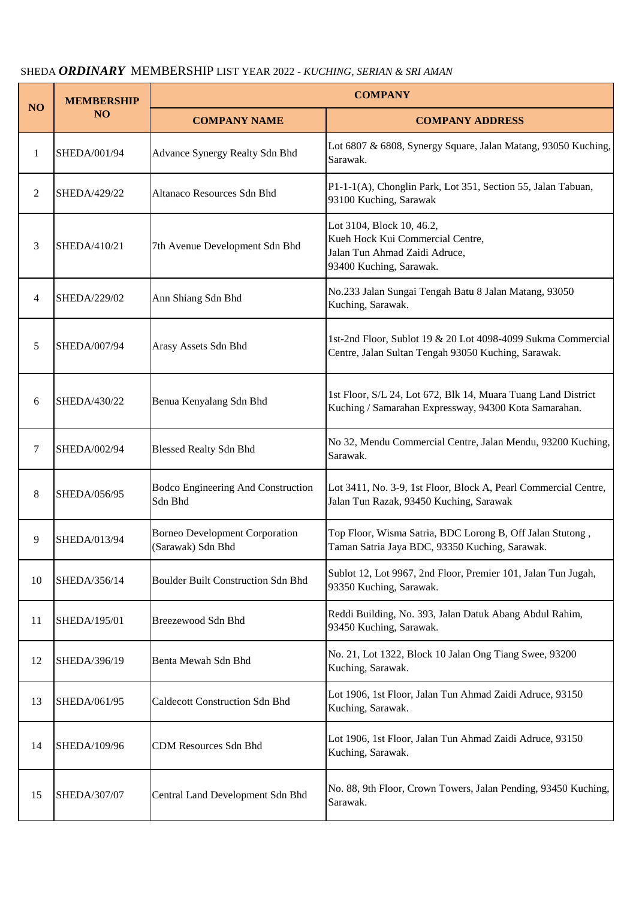## SHEDA *ORDINARY* MEMBERSHIP LIST YEAR 2022 - *KUCHING, SERIAN & SRI AMAN*

| NO | <b>MEMBERSHIP</b><br>NO <sub>1</sub> | <b>COMPANY</b>                                             |                                                                                                                           |  |
|----|--------------------------------------|------------------------------------------------------------|---------------------------------------------------------------------------------------------------------------------------|--|
|    |                                      | <b>COMPANY NAME</b>                                        | <b>COMPANY ADDRESS</b>                                                                                                    |  |
| 1  | SHEDA/001/94                         | Advance Synergy Realty Sdn Bhd                             | Lot 6807 & 6808, Synergy Square, Jalan Matang, 93050 Kuching,<br>Sarawak.                                                 |  |
| 2  | SHEDA/429/22                         | Altanaco Resources Sdn Bhd                                 | P1-1-1(A), Chonglin Park, Lot 351, Section 55, Jalan Tabuan,<br>93100 Kuching, Sarawak                                    |  |
| 3  | SHEDA/410/21                         | 7th Avenue Development Sdn Bhd                             | Lot 3104, Block 10, 46.2,<br>Kueh Hock Kui Commercial Centre,<br>Jalan Tun Ahmad Zaidi Adruce,<br>93400 Kuching, Sarawak. |  |
| 4  | SHEDA/229/02                         | Ann Shiang Sdn Bhd                                         | No.233 Jalan Sungai Tengah Batu 8 Jalan Matang, 93050<br>Kuching, Sarawak.                                                |  |
| 5  | SHEDA/007/94                         | Arasy Assets Sdn Bhd                                       | 1st-2nd Floor, Sublot 19 & 20 Lot 4098-4099 Sukma Commercial<br>Centre, Jalan Sultan Tengah 93050 Kuching, Sarawak.       |  |
| 6  | SHEDA/430/22                         | Benua Kenyalang Sdn Bhd                                    | 1st Floor, S/L 24, Lot 672, Blk 14, Muara Tuang Land District<br>Kuching / Samarahan Expressway, 94300 Kota Samarahan.    |  |
| 7  | SHEDA/002/94                         | <b>Blessed Realty Sdn Bhd</b>                              | No 32, Mendu Commercial Centre, Jalan Mendu, 93200 Kuching,<br>Sarawak.                                                   |  |
| 8  | SHEDA/056/95                         | Bodco Engineering And Construction<br>Sdn Bhd              | Lot 3411, No. 3-9, 1st Floor, Block A, Pearl Commercial Centre,<br>Jalan Tun Razak, 93450 Kuching, Sarawak                |  |
| 9  | SHEDA/013/94                         | <b>Borneo Development Corporation</b><br>(Sarawak) Sdn Bhd | Top Floor, Wisma Satria, BDC Lorong B, Off Jalan Stutong,<br>Taman Satria Jaya BDC, 93350 Kuching, Sarawak.               |  |
| 10 | SHEDA/356/14                         | <b>Boulder Built Construction Sdn Bhd</b>                  | Sublot 12, Lot 9967, 2nd Floor, Premier 101, Jalan Tun Jugah,<br>93350 Kuching, Sarawak.                                  |  |
| 11 | SHEDA/195/01                         | Breezewood Sdn Bhd                                         | Reddi Building, No. 393, Jalan Datuk Abang Abdul Rahim,<br>93450 Kuching, Sarawak.                                        |  |
| 12 | SHEDA/396/19                         | Benta Mewah Sdn Bhd                                        | No. 21, Lot 1322, Block 10 Jalan Ong Tiang Swee, 93200<br>Kuching, Sarawak.                                               |  |
| 13 | SHEDA/061/95                         | <b>Caldecott Construction Sdn Bhd</b>                      | Lot 1906, 1st Floor, Jalan Tun Ahmad Zaidi Adruce, 93150<br>Kuching, Sarawak.                                             |  |
| 14 | SHEDA/109/96                         | <b>CDM Resources Sdn Bhd</b>                               | Lot 1906, 1st Floor, Jalan Tun Ahmad Zaidi Adruce, 93150<br>Kuching, Sarawak.                                             |  |
| 15 | SHEDA/307/07                         | Central Land Development Sdn Bhd                           | No. 88, 9th Floor, Crown Towers, Jalan Pending, 93450 Kuching,<br>Sarawak.                                                |  |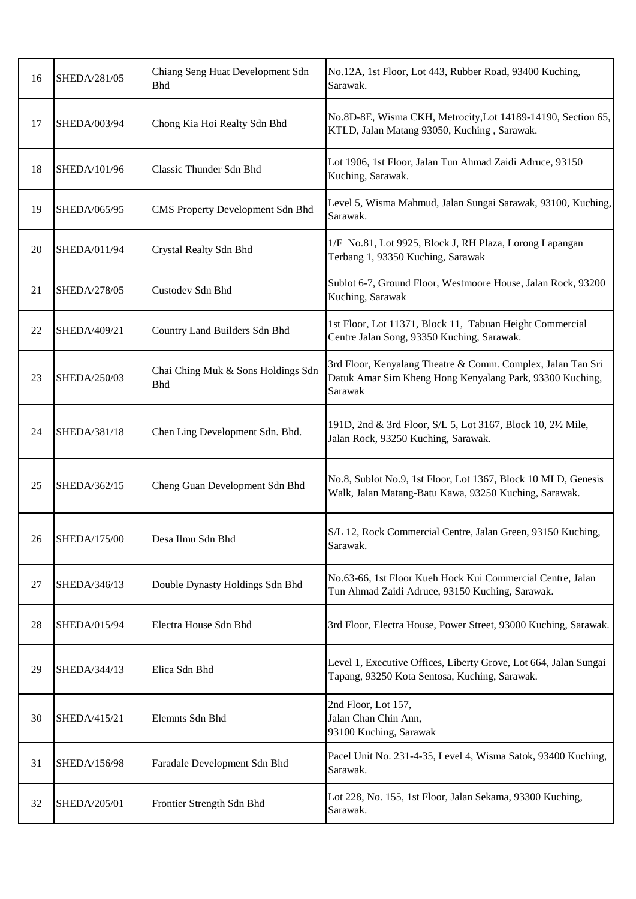| 16     | SHEDA/281/05 | Chiang Seng Huat Development Sdn<br><b>Bhd</b>   | No.12A, 1st Floor, Lot 443, Rubber Road, 93400 Kuching,<br>Sarawak.                                                                |
|--------|--------------|--------------------------------------------------|------------------------------------------------------------------------------------------------------------------------------------|
| 17     | SHEDA/003/94 | Chong Kia Hoi Realty Sdn Bhd                     | No.8D-8E, Wisma CKH, Metrocity, Lot 14189-14190, Section 65,<br>KTLD, Jalan Matang 93050, Kuching, Sarawak.                        |
| 18     | SHEDA/101/96 | Classic Thunder Sdn Bhd                          | Lot 1906, 1st Floor, Jalan Tun Ahmad Zaidi Adruce, 93150<br>Kuching, Sarawak.                                                      |
| 19     | SHEDA/065/95 | CMS Property Development Sdn Bhd                 | Level 5, Wisma Mahmud, Jalan Sungai Sarawak, 93100, Kuching,<br>Sarawak.                                                           |
| 20     | SHEDA/011/94 | Crystal Realty Sdn Bhd                           | 1/F No.81, Lot 9925, Block J, RH Plaza, Lorong Lapangan<br>Terbang 1, 93350 Kuching, Sarawak                                       |
| 21     | SHEDA/278/05 | Custodev Sdn Bhd                                 | Sublot 6-7, Ground Floor, Westmoore House, Jalan Rock, 93200<br>Kuching, Sarawak                                                   |
| 22     | SHEDA/409/21 | Country Land Builders Sdn Bhd                    | 1st Floor, Lot 11371, Block 11, Tabuan Height Commercial<br>Centre Jalan Song, 93350 Kuching, Sarawak.                             |
| 23     | SHEDA/250/03 | Chai Ching Muk & Sons Holdings Sdn<br><b>Bhd</b> | 3rd Floor, Kenyalang Theatre & Comm. Complex, Jalan Tan Sri<br>Datuk Amar Sim Kheng Hong Kenyalang Park, 93300 Kuching,<br>Sarawak |
| 24     | SHEDA/381/18 | Chen Ling Development Sdn. Bhd.                  | 191D, 2nd & 3rd Floor, S/L 5, Lot 3167, Block 10, 2½ Mile,<br>Jalan Rock, 93250 Kuching, Sarawak.                                  |
| 25     | SHEDA/362/15 | Cheng Guan Development Sdn Bhd                   | No.8, Sublot No.9, 1st Floor, Lot 1367, Block 10 MLD, Genesis<br>Walk, Jalan Matang-Batu Kawa, 93250 Kuching, Sarawak.             |
| 26     | SHEDA/175/00 | Desa Ilmu Sdn Bhd                                | S/L 12, Rock Commercial Centre, Jalan Green, 93150 Kuching,<br>Sarawak.                                                            |
| $27\,$ | SHEDA/346/13 | Double Dynasty Holdings Sdn Bhd                  | No.63-66, 1st Floor Kueh Hock Kui Commercial Centre, Jalan<br>Tun Ahmad Zaidi Adruce, 93150 Kuching, Sarawak.                      |
| 28     | SHEDA/015/94 | Electra House Sdn Bhd                            | 3rd Floor, Electra House, Power Street, 93000 Kuching, Sarawak.                                                                    |
| 29     | SHEDA/344/13 | Elica Sdn Bhd                                    | Level 1, Executive Offices, Liberty Grove, Lot 664, Jalan Sungai<br>Tapang, 93250 Kota Sentosa, Kuching, Sarawak.                  |
| 30     | SHEDA/415/21 | Elemnts Sdn Bhd                                  | 2nd Floor, Lot 157,<br>Jalan Chan Chin Ann,<br>93100 Kuching, Sarawak                                                              |
| 31     | SHEDA/156/98 | Faradale Development Sdn Bhd                     | Pacel Unit No. 231-4-35, Level 4, Wisma Satok, 93400 Kuching,<br>Sarawak.                                                          |
| 32     | SHEDA/205/01 | Frontier Strength Sdn Bhd                        | Lot 228, No. 155, 1st Floor, Jalan Sekama, 93300 Kuching,<br>Sarawak.                                                              |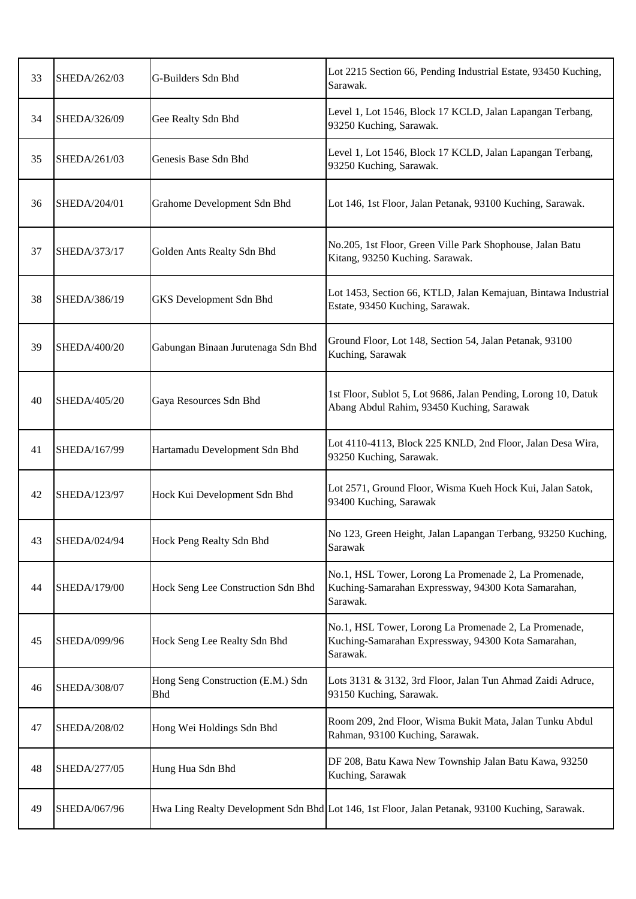| 33 | SHEDA/262/03 | G-Builders Sdn Bhd                              | Lot 2215 Section 66, Pending Industrial Estate, 93450 Kuching,<br>Sarawak.                                               |
|----|--------------|-------------------------------------------------|--------------------------------------------------------------------------------------------------------------------------|
| 34 | SHEDA/326/09 | Gee Realty Sdn Bhd                              | Level 1, Lot 1546, Block 17 KCLD, Jalan Lapangan Terbang,<br>93250 Kuching, Sarawak.                                     |
| 35 | SHEDA/261/03 | Genesis Base Sdn Bhd                            | Level 1, Lot 1546, Block 17 KCLD, Jalan Lapangan Terbang,<br>93250 Kuching, Sarawak.                                     |
| 36 | SHEDA/204/01 | Grahome Development Sdn Bhd                     | Lot 146, 1st Floor, Jalan Petanak, 93100 Kuching, Sarawak.                                                               |
| 37 | SHEDA/373/17 | Golden Ants Realty Sdn Bhd                      | No.205, 1st Floor, Green Ville Park Shophouse, Jalan Batu<br>Kitang, 93250 Kuching. Sarawak.                             |
| 38 | SHEDA/386/19 | GKS Development Sdn Bhd                         | Lot 1453, Section 66, KTLD, Jalan Kemajuan, Bintawa Industrial<br>Estate, 93450 Kuching, Sarawak.                        |
| 39 | SHEDA/400/20 | Gabungan Binaan Jurutenaga Sdn Bhd              | Ground Floor, Lot 148, Section 54, Jalan Petanak, 93100<br>Kuching, Sarawak                                              |
| 40 | SHEDA/405/20 | Gaya Resources Sdn Bhd                          | 1st Floor, Sublot 5, Lot 9686, Jalan Pending, Lorong 10, Datuk<br>Abang Abdul Rahim, 93450 Kuching, Sarawak              |
| 41 | SHEDA/167/99 | Hartamadu Development Sdn Bhd                   | Lot 4110-4113, Block 225 KNLD, 2nd Floor, Jalan Desa Wira,<br>93250 Kuching, Sarawak.                                    |
| 42 | SHEDA/123/97 | Hock Kui Development Sdn Bhd                    | Lot 2571, Ground Floor, Wisma Kueh Hock Kui, Jalan Satok,<br>93400 Kuching, Sarawak                                      |
| 43 | SHEDA/024/94 | Hock Peng Realty Sdn Bhd                        | No 123, Green Height, Jalan Lapangan Terbang, 93250 Kuching,<br>Sarawak                                                  |
| 44 | SHEDA/179/00 | Hock Seng Lee Construction Sdn Bhd              | No.1, HSL Tower, Lorong La Promenade 2, La Promenade,<br>Kuching-Samarahan Expressway, 94300 Kota Samarahan,<br>Sarawak. |
| 45 | SHEDA/099/96 | Hock Seng Lee Realty Sdn Bhd                    | No.1, HSL Tower, Lorong La Promenade 2, La Promenade,<br>Kuching-Samarahan Expressway, 94300 Kota Samarahan,<br>Sarawak. |
| 46 | SHEDA/308/07 | Hong Seng Construction (E.M.) Sdn<br><b>Bhd</b> | Lots 3131 & 3132, 3rd Floor, Jalan Tun Ahmad Zaidi Adruce,<br>93150 Kuching, Sarawak.                                    |
| 47 | SHEDA/208/02 | Hong Wei Holdings Sdn Bhd                       | Room 209, 2nd Floor, Wisma Bukit Mata, Jalan Tunku Abdul<br>Rahman, 93100 Kuching, Sarawak.                              |
| 48 | SHEDA/277/05 | Hung Hua Sdn Bhd                                | DF 208, Batu Kawa New Township Jalan Batu Kawa, 93250<br>Kuching, Sarawak                                                |
| 49 | SHEDA/067/96 |                                                 | Hwa Ling Realty Development Sdn Bhd Lot 146, 1st Floor, Jalan Petanak, 93100 Kuching, Sarawak.                           |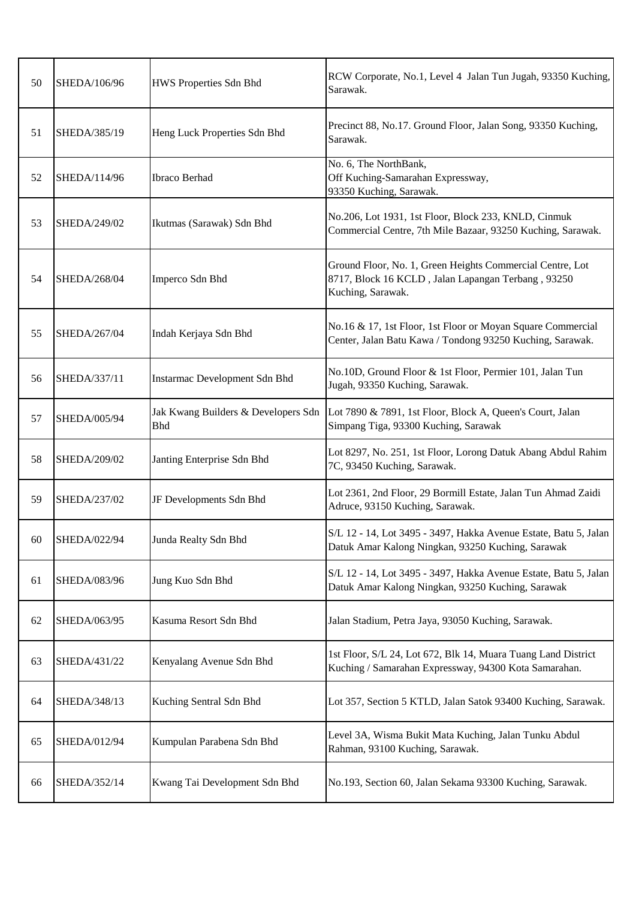| 50 | SHEDA/106/96 | HWS Properties Sdn Bhd                            | RCW Corporate, No.1, Level 4 Jalan Tun Jugah, 93350 Kuching,<br>Sarawak.                                                             |
|----|--------------|---------------------------------------------------|--------------------------------------------------------------------------------------------------------------------------------------|
| 51 | SHEDA/385/19 | Heng Luck Properties Sdn Bhd                      | Precinct 88, No.17. Ground Floor, Jalan Song, 93350 Kuching,<br>Sarawak.                                                             |
| 52 | SHEDA/114/96 | Ibraco Berhad                                     | No. 6, The NorthBank,<br>Off Kuching-Samarahan Expressway,<br>93350 Kuching, Sarawak.                                                |
| 53 | SHEDA/249/02 | Ikutmas (Sarawak) Sdn Bhd                         | No.206, Lot 1931, 1st Floor, Block 233, KNLD, Cinmuk<br>Commercial Centre, 7th Mile Bazaar, 93250 Kuching, Sarawak.                  |
| 54 | SHEDA/268/04 | Imperco Sdn Bhd                                   | Ground Floor, No. 1, Green Heights Commercial Centre, Lot<br>8717, Block 16 KCLD, Jalan Lapangan Terbang, 93250<br>Kuching, Sarawak. |
| 55 | SHEDA/267/04 | Indah Kerjaya Sdn Bhd                             | No.16 & 17, 1st Floor, 1st Floor or Moyan Square Commercial<br>Center, Jalan Batu Kawa / Tondong 93250 Kuching, Sarawak.             |
| 56 | SHEDA/337/11 | Instarmac Development Sdn Bhd                     | No.10D, Ground Floor & 1st Floor, Permier 101, Jalan Tun<br>Jugah, 93350 Kuching, Sarawak.                                           |
| 57 | SHEDA/005/94 | Jak Kwang Builders & Developers Sdn<br><b>Bhd</b> | Lot 7890 & 7891, 1st Floor, Block A, Queen's Court, Jalan<br>Simpang Tiga, 93300 Kuching, Sarawak                                    |
| 58 | SHEDA/209/02 | Janting Enterprise Sdn Bhd                        | Lot 8297, No. 251, 1st Floor, Lorong Datuk Abang Abdul Rahim<br>7C, 93450 Kuching, Sarawak.                                          |
| 59 | SHEDA/237/02 | JF Developments Sdn Bhd                           | Lot 2361, 2nd Floor, 29 Bormill Estate, Jalan Tun Ahmad Zaidi<br>Adruce, 93150 Kuching, Sarawak.                                     |
| 60 | SHEDA/022/94 | Junda Realty Sdn Bhd                              | S/L 12 - 14, Lot 3495 - 3497, Hakka Avenue Estate, Batu 5, Jalan<br>Datuk Amar Kalong Ningkan, 93250 Kuching, Sarawak                |
| 61 | SHEDA/083/96 | Jung Kuo Sdn Bhd                                  | S/L 12 - 14, Lot 3495 - 3497, Hakka Avenue Estate, Batu 5, Jalan<br>Datuk Amar Kalong Ningkan, 93250 Kuching, Sarawak                |
| 62 | SHEDA/063/95 | Kasuma Resort Sdn Bhd                             | Jalan Stadium, Petra Jaya, 93050 Kuching, Sarawak.                                                                                   |
| 63 | SHEDA/431/22 | Kenyalang Avenue Sdn Bhd                          | 1st Floor, S/L 24, Lot 672, Blk 14, Muara Tuang Land District<br>Kuching / Samarahan Expressway, 94300 Kota Samarahan.               |
| 64 | SHEDA/348/13 | Kuching Sentral Sdn Bhd                           | Lot 357, Section 5 KTLD, Jalan Satok 93400 Kuching, Sarawak.                                                                         |
| 65 | SHEDA/012/94 | Kumpulan Parabena Sdn Bhd                         | Level 3A, Wisma Bukit Mata Kuching, Jalan Tunku Abdul<br>Rahman, 93100 Kuching, Sarawak.                                             |
| 66 | SHEDA/352/14 | Kwang Tai Development Sdn Bhd                     | No.193, Section 60, Jalan Sekama 93300 Kuching, Sarawak.                                                                             |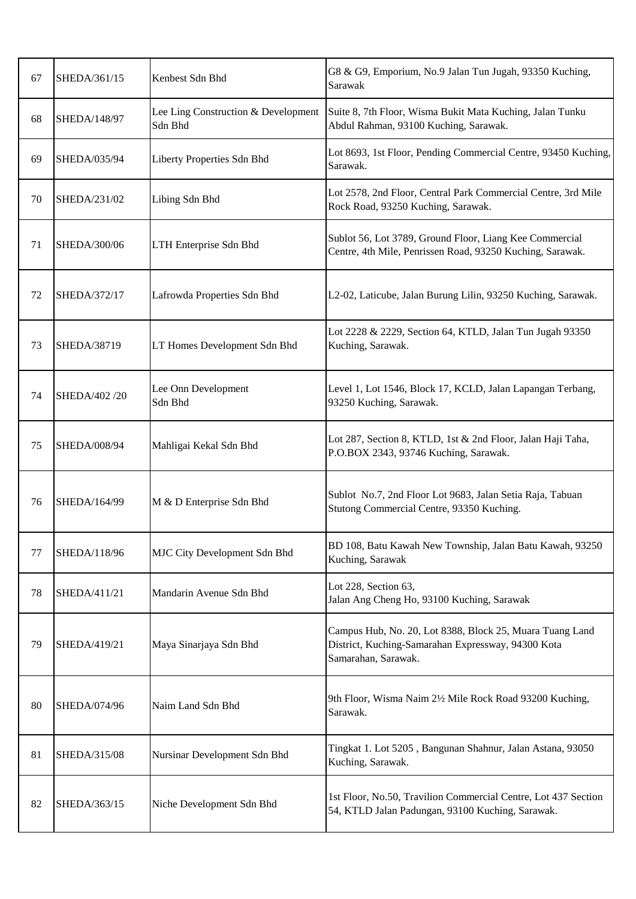| 67 | SHEDA/361/15  | Kenbest Sdn Bhd                                | G8 & G9, Emporium, No.9 Jalan Tun Jugah, 93350 Kuching,<br>Sarawak                                                                    |
|----|---------------|------------------------------------------------|---------------------------------------------------------------------------------------------------------------------------------------|
| 68 | SHEDA/148/97  | Lee Ling Construction & Development<br>Sdn Bhd | Suite 8, 7th Floor, Wisma Bukit Mata Kuching, Jalan Tunku<br>Abdul Rahman, 93100 Kuching, Sarawak.                                    |
| 69 | SHEDA/035/94  | Liberty Properties Sdn Bhd                     | Lot 8693, 1st Floor, Pending Commercial Centre, 93450 Kuching,<br>Sarawak.                                                            |
| 70 | SHEDA/231/02  | Libing Sdn Bhd                                 | Lot 2578, 2nd Floor, Central Park Commercial Centre, 3rd Mile<br>Rock Road, 93250 Kuching, Sarawak.                                   |
| 71 | SHEDA/300/06  | LTH Enterprise Sdn Bhd                         | Sublot 56, Lot 3789, Ground Floor, Liang Kee Commercial<br>Centre, 4th Mile, Penrissen Road, 93250 Kuching, Sarawak.                  |
| 72 | SHEDA/372/17  | Lafrowda Properties Sdn Bhd                    | L2-02, Laticube, Jalan Burung Lilin, 93250 Kuching, Sarawak.                                                                          |
| 73 | SHEDA/38719   | LT Homes Development Sdn Bhd                   | Lot 2228 & 2229, Section 64, KTLD, Jalan Tun Jugah 93350<br>Kuching, Sarawak.                                                         |
| 74 | SHEDA/402 /20 | Lee Onn Development<br>Sdn Bhd                 | Level 1, Lot 1546, Block 17, KCLD, Jalan Lapangan Terbang,<br>93250 Kuching, Sarawak.                                                 |
| 75 | SHEDA/008/94  | Mahligai Kekal Sdn Bhd                         | Lot 287, Section 8, KTLD, 1st & 2nd Floor, Jalan Haji Taha,<br>P.O.BOX 2343, 93746 Kuching, Sarawak.                                  |
| 76 | SHEDA/164/99  | M & D Enterprise Sdn Bhd                       | Sublot No.7, 2nd Floor Lot 9683, Jalan Setia Raja, Tabuan<br>Stutong Commercial Centre, 93350 Kuching.                                |
| 77 | SHEDA/118/96  | MJC City Development Sdn Bhd                   | BD 108, Batu Kawah New Township, Jalan Batu Kawah, 93250<br>Kuching, Sarawak                                                          |
| 78 | SHEDA/411/21  | Mandarin Avenue Sdn Bhd                        | Lot 228, Section 63,<br>Jalan Ang Cheng Ho, 93100 Kuching, Sarawak                                                                    |
| 79 | SHEDA/419/21  | Maya Sinarjaya Sdn Bhd                         | Campus Hub, No. 20, Lot 8388, Block 25, Muara Tuang Land<br>District, Kuching-Samarahan Expressway, 94300 Kota<br>Samarahan, Sarawak. |
| 80 | SHEDA/074/96  | Naim Land Sdn Bhd                              | 9th Floor, Wisma Naim 2½ Mile Rock Road 93200 Kuching,<br>Sarawak.                                                                    |
| 81 | SHEDA/315/08  | Nursinar Development Sdn Bhd                   | Tingkat 1. Lot 5205, Bangunan Shahnur, Jalan Astana, 93050<br>Kuching, Sarawak.                                                       |
| 82 | SHEDA/363/15  | Niche Development Sdn Bhd                      | 1st Floor, No.50, Travilion Commercial Centre, Lot 437 Section<br>54, KTLD Jalan Padungan, 93100 Kuching, Sarawak.                    |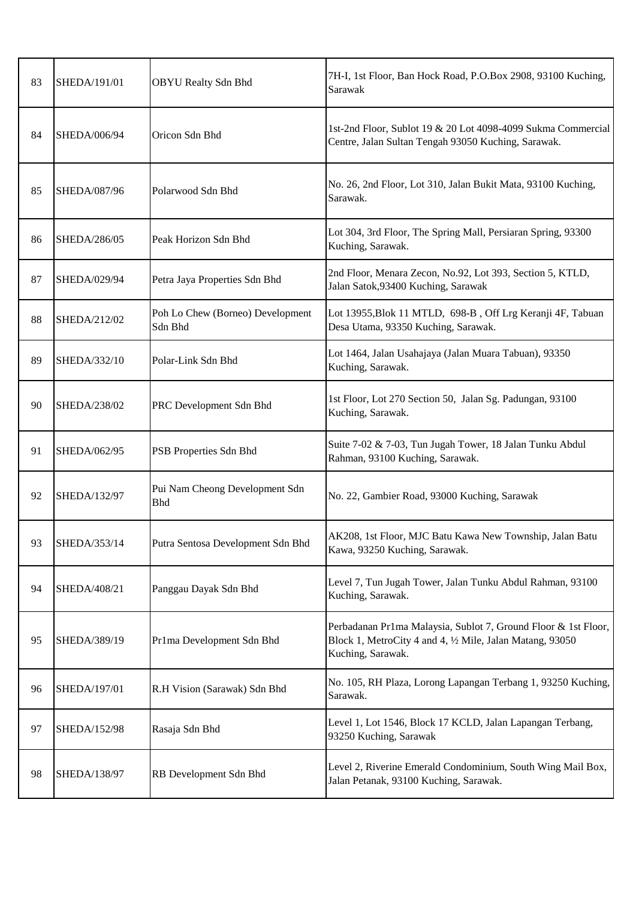| 83 | <b>SHEDA/191/01</b> | <b>OBYU</b> Realty Sdn Bhd                   | 7H-I, 1st Floor, Ban Hock Road, P.O.Box 2908, 93100 Kuching,<br>Sarawak                                                                          |
|----|---------------------|----------------------------------------------|--------------------------------------------------------------------------------------------------------------------------------------------------|
| 84 | SHEDA/006/94        | Oricon Sdn Bhd                               | 1st-2nd Floor, Sublot 19 & 20 Lot 4098-4099 Sukma Commercial<br>Centre, Jalan Sultan Tengah 93050 Kuching, Sarawak.                              |
| 85 | SHEDA/087/96        | Polarwood Sdn Bhd                            | No. 26, 2nd Floor, Lot 310, Jalan Bukit Mata, 93100 Kuching,<br>Sarawak.                                                                         |
| 86 | SHEDA/286/05        | Peak Horizon Sdn Bhd                         | Lot 304, 3rd Floor, The Spring Mall, Persiaran Spring, 93300<br>Kuching, Sarawak.                                                                |
| 87 | SHEDA/029/94        | Petra Jaya Properties Sdn Bhd                | 2nd Floor, Menara Zecon, No.92, Lot 393, Section 5, KTLD,<br>Jalan Satok, 93400 Kuching, Sarawak                                                 |
| 88 | SHEDA/212/02        | Poh Lo Chew (Borneo) Development<br>Sdn Bhd  | Lot 13955, Blok 11 MTLD, 698-B, Off Lrg Keranji 4F, Tabuan<br>Desa Utama, 93350 Kuching, Sarawak.                                                |
| 89 | SHEDA/332/10        | Polar-Link Sdn Bhd                           | Lot 1464, Jalan Usahajaya (Jalan Muara Tabuan), 93350<br>Kuching, Sarawak.                                                                       |
| 90 | SHEDA/238/02        | PRC Development Sdn Bhd                      | 1st Floor, Lot 270 Section 50, Jalan Sg. Padungan, 93100<br>Kuching, Sarawak.                                                                    |
| 91 | SHEDA/062/95        | PSB Properties Sdn Bhd                       | Suite 7-02 & 7-03, Tun Jugah Tower, 18 Jalan Tunku Abdul<br>Rahman, 93100 Kuching, Sarawak.                                                      |
| 92 | SHEDA/132/97        | Pui Nam Cheong Development Sdn<br><b>Bhd</b> | No. 22, Gambier Road, 93000 Kuching, Sarawak                                                                                                     |
| 93 | SHEDA/353/14        | Putra Sentosa Development Sdn Bhd            | AK208, 1st Floor, MJC Batu Kawa New Township, Jalan Batu<br>Kawa, 93250 Kuching, Sarawak.                                                        |
| 94 | SHEDA/408/21        | Panggau Dayak Sdn Bhd                        | Level 7, Tun Jugah Tower, Jalan Tunku Abdul Rahman, 93100<br>Kuching, Sarawak.                                                                   |
| 95 | SHEDA/389/19        | Pr1ma Development Sdn Bhd                    | Perbadanan Pr1ma Malaysia, Sublot 7, Ground Floor & 1st Floor,<br>Block 1, MetroCity 4 and 4, 1/2 Mile, Jalan Matang, 93050<br>Kuching, Sarawak. |
| 96 | SHEDA/197/01        | R.H Vision (Sarawak) Sdn Bhd                 | No. 105, RH Plaza, Lorong Lapangan Terbang 1, 93250 Kuching,<br>Sarawak.                                                                         |
| 97 | SHEDA/152/98        | Rasaja Sdn Bhd                               | Level 1, Lot 1546, Block 17 KCLD, Jalan Lapangan Terbang,<br>93250 Kuching, Sarawak                                                              |
| 98 | SHEDA/138/97        | RB Development Sdn Bhd                       | Level 2, Riverine Emerald Condominium, South Wing Mail Box,<br>Jalan Petanak, 93100 Kuching, Sarawak.                                            |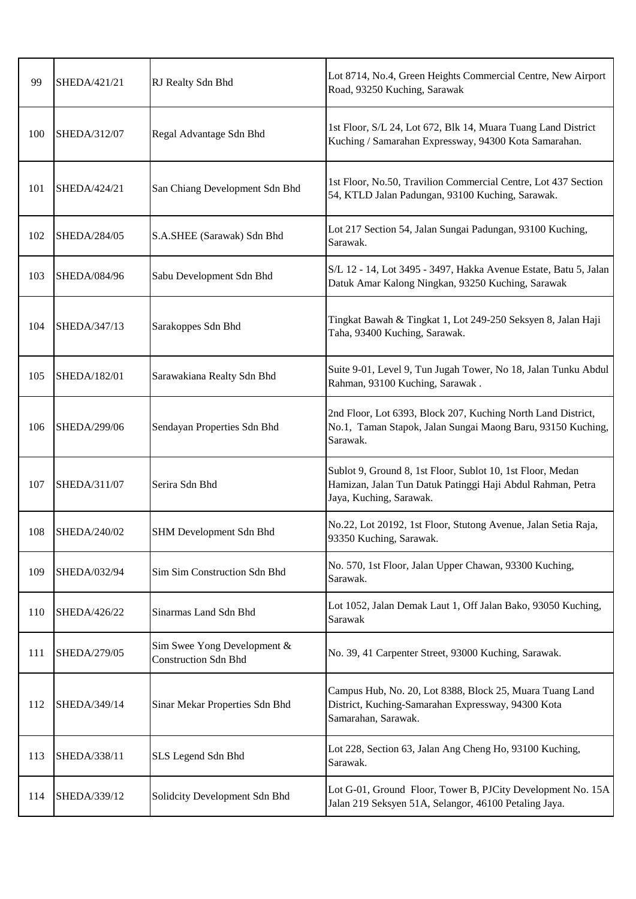| 99  | SHEDA/421/21 | RJ Realty Sdn Bhd                                          | Lot 8714, No.4, Green Heights Commercial Centre, New Airport<br>Road, 93250 Kuching, Sarawak                                                        |
|-----|--------------|------------------------------------------------------------|-----------------------------------------------------------------------------------------------------------------------------------------------------|
| 100 | SHEDA/312/07 | Regal Advantage Sdn Bhd                                    | 1st Floor, S/L 24, Lot 672, Blk 14, Muara Tuang Land District<br>Kuching / Samarahan Expressway, 94300 Kota Samarahan.                              |
| 101 | SHEDA/424/21 | San Chiang Development Sdn Bhd                             | 1st Floor, No.50, Travilion Commercial Centre, Lot 437 Section<br>54, KTLD Jalan Padungan, 93100 Kuching, Sarawak.                                  |
| 102 | SHEDA/284/05 | S.A.SHEE (Sarawak) Sdn Bhd                                 | Lot 217 Section 54, Jalan Sungai Padungan, 93100 Kuching,<br>Sarawak.                                                                               |
| 103 | SHEDA/084/96 | Sabu Development Sdn Bhd                                   | S/L 12 - 14, Lot 3495 - 3497, Hakka Avenue Estate, Batu 5, Jalan<br>Datuk Amar Kalong Ningkan, 93250 Kuching, Sarawak                               |
| 104 | SHEDA/347/13 | Sarakoppes Sdn Bhd                                         | Tingkat Bawah & Tingkat 1, Lot 249-250 Seksyen 8, Jalan Haji<br>Taha, 93400 Kuching, Sarawak.                                                       |
| 105 | SHEDA/182/01 | Sarawakiana Realty Sdn Bhd                                 | Suite 9-01, Level 9, Tun Jugah Tower, No 18, Jalan Tunku Abdul<br>Rahman, 93100 Kuching, Sarawak.                                                   |
| 106 | SHEDA/299/06 | Sendayan Properties Sdn Bhd                                | 2nd Floor, Lot 6393, Block 207, Kuching North Land District,<br>No.1, Taman Stapok, Jalan Sungai Maong Baru, 93150 Kuching,<br>Sarawak.             |
| 107 | SHEDA/311/07 | Serira Sdn Bhd                                             | Sublot 9, Ground 8, 1st Floor, Sublot 10, 1st Floor, Medan<br>Hamizan, Jalan Tun Datuk Patinggi Haji Abdul Rahman, Petra<br>Jaya, Kuching, Sarawak. |
| 108 | SHEDA/240/02 | SHM Development Sdn Bhd                                    | No.22, Lot 20192, 1st Floor, Stutong Avenue, Jalan Setia Raja,<br>93350 Kuching, Sarawak.                                                           |
| 109 | SHEDA/032/94 | Sim Sim Construction Sdn Bhd                               | No. 570, 1st Floor, Jalan Upper Chawan, 93300 Kuching,<br>Sarawak.                                                                                  |
| 110 | SHEDA/426/22 | Sinarmas Land Sdn Bhd                                      | Lot 1052, Jalan Demak Laut 1, Off Jalan Bako, 93050 Kuching,<br>Sarawak                                                                             |
| 111 | SHEDA/279/05 | Sim Swee Yong Development &<br><b>Construction Sdn Bhd</b> | No. 39, 41 Carpenter Street, 93000 Kuching, Sarawak.                                                                                                |
| 112 | SHEDA/349/14 | Sinar Mekar Properties Sdn Bhd                             | Campus Hub, No. 20, Lot 8388, Block 25, Muara Tuang Land<br>District, Kuching-Samarahan Expressway, 94300 Kota<br>Samarahan, Sarawak.               |
| 113 | SHEDA/338/11 | SLS Legend Sdn Bhd                                         | Lot 228, Section 63, Jalan Ang Cheng Ho, 93100 Kuching,<br>Sarawak.                                                                                 |
| 114 | SHEDA/339/12 | Solidcity Development Sdn Bhd                              | Lot G-01, Ground Floor, Tower B, PJCity Development No. 15A<br>Jalan 219 Seksyen 51A, Selangor, 46100 Petaling Jaya.                                |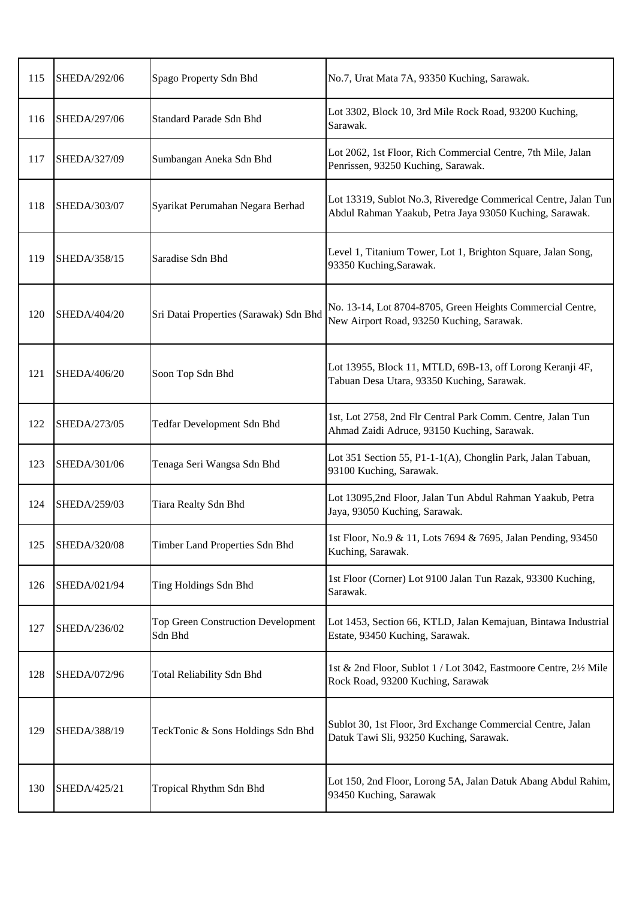| 115 | SHEDA/292/06 | Spago Property Sdn Bhd                               | No.7, Urat Mata 7A, 93350 Kuching, Sarawak.                                                                               |
|-----|--------------|------------------------------------------------------|---------------------------------------------------------------------------------------------------------------------------|
| 116 | SHEDA/297/06 | Standard Parade Sdn Bhd                              | Lot 3302, Block 10, 3rd Mile Rock Road, 93200 Kuching,<br>Sarawak.                                                        |
| 117 | SHEDA/327/09 | Sumbangan Aneka Sdn Bhd                              | Lot 2062, 1st Floor, Rich Commercial Centre, 7th Mile, Jalan<br>Penrissen, 93250 Kuching, Sarawak.                        |
| 118 | SHEDA/303/07 | Syarikat Perumahan Negara Berhad                     | Lot 13319, Sublot No.3, Riveredge Commerical Centre, Jalan Tun<br>Abdul Rahman Yaakub, Petra Jaya 93050 Kuching, Sarawak. |
| 119 | SHEDA/358/15 | Saradise Sdn Bhd                                     | Level 1, Titanium Tower, Lot 1, Brighton Square, Jalan Song,<br>93350 Kuching, Sarawak.                                   |
| 120 | SHEDA/404/20 | Sri Datai Properties (Sarawak) Sdn Bhd               | No. 13-14, Lot 8704-8705, Green Heights Commercial Centre,<br>New Airport Road, 93250 Kuching, Sarawak.                   |
| 121 | SHEDA/406/20 | Soon Top Sdn Bhd                                     | Lot 13955, Block 11, MTLD, 69B-13, off Lorong Keranji 4F,<br>Tabuan Desa Utara, 93350 Kuching, Sarawak.                   |
| 122 | SHEDA/273/05 | Tedfar Development Sdn Bhd                           | 1st, Lot 2758, 2nd Flr Central Park Comm. Centre, Jalan Tun<br>Ahmad Zaidi Adruce, 93150 Kuching, Sarawak.                |
| 123 | SHEDA/301/06 | Tenaga Seri Wangsa Sdn Bhd                           | Lot 351 Section 55, P1-1-1(A), Chonglin Park, Jalan Tabuan,<br>93100 Kuching, Sarawak.                                    |
| 124 | SHEDA/259/03 | Tiara Realty Sdn Bhd                                 | Lot 13095,2nd Floor, Jalan Tun Abdul Rahman Yaakub, Petra<br>Jaya, 93050 Kuching, Sarawak.                                |
| 125 | SHEDA/320/08 | Timber Land Properties Sdn Bhd                       | 1st Floor, No.9 & 11, Lots 7694 & 7695, Jalan Pending, 93450<br>Kuching, Sarawak.                                         |
| 126 | SHEDA/021/94 | Ting Holdings Sdn Bhd                                | 1st Floor (Corner) Lot 9100 Jalan Tun Razak, 93300 Kuching,<br>Sarawak.                                                   |
| 127 | SHEDA/236/02 | <b>Top Green Construction Development</b><br>Sdn Bhd | Lot 1453, Section 66, KTLD, Jalan Kemajuan, Bintawa Industrial<br>Estate, 93450 Kuching, Sarawak.                         |
| 128 | SHEDA/072/96 | Total Reliability Sdn Bhd                            | 1st & 2nd Floor, Sublot 1 / Lot 3042, Eastmoore Centre, 21/2 Mile<br>Rock Road, 93200 Kuching, Sarawak                    |
| 129 | SHEDA/388/19 | TeckTonic & Sons Holdings Sdn Bhd                    | Sublot 30, 1st Floor, 3rd Exchange Commercial Centre, Jalan<br>Datuk Tawi Sli, 93250 Kuching, Sarawak.                    |
| 130 | SHEDA/425/21 | Tropical Rhythm Sdn Bhd                              | Lot 150, 2nd Floor, Lorong 5A, Jalan Datuk Abang Abdul Rahim,<br>93450 Kuching, Sarawak                                   |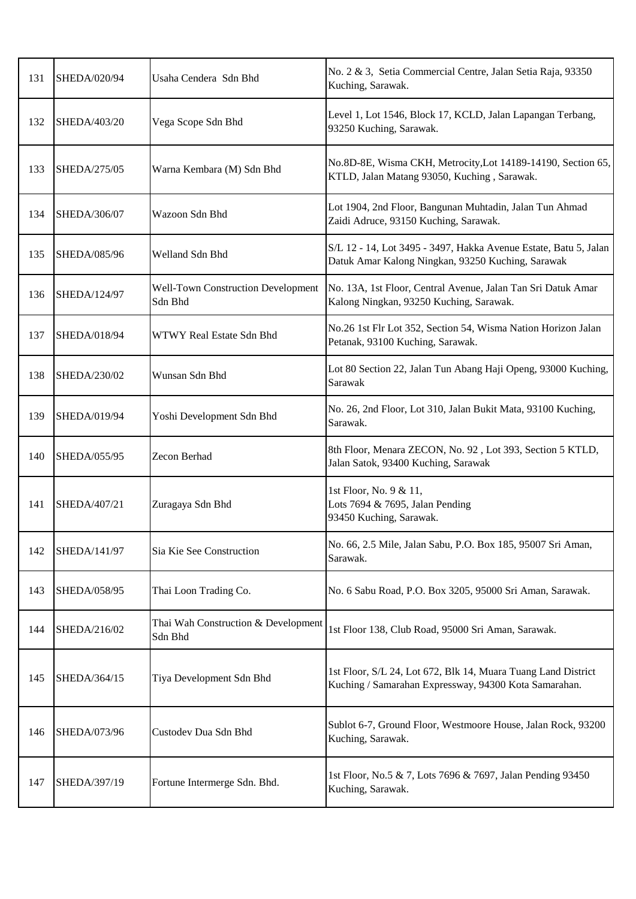| 131 | SHEDA/020/94 | Usaha Cendera Sdn Bhd                                | No. 2 & 3, Setia Commercial Centre, Jalan Setia Raja, 93350<br>Kuching, Sarawak.                                       |
|-----|--------------|------------------------------------------------------|------------------------------------------------------------------------------------------------------------------------|
| 132 | SHEDA/403/20 | Vega Scope Sdn Bhd                                   | Level 1, Lot 1546, Block 17, KCLD, Jalan Lapangan Terbang,<br>93250 Kuching, Sarawak.                                  |
| 133 | SHEDA/275/05 | Warna Kembara (M) Sdn Bhd                            | No.8D-8E, Wisma CKH, Metrocity, Lot 14189-14190, Section 65,<br>KTLD, Jalan Matang 93050, Kuching, Sarawak.            |
| 134 | SHEDA/306/07 | Wazoon Sdn Bhd                                       | Lot 1904, 2nd Floor, Bangunan Muhtadin, Jalan Tun Ahmad<br>Zaidi Adruce, 93150 Kuching, Sarawak.                       |
| 135 | SHEDA/085/96 | Welland Sdn Bhd                                      | S/L 12 - 14, Lot 3495 - 3497, Hakka Avenue Estate, Batu 5, Jalan<br>Datuk Amar Kalong Ningkan, 93250 Kuching, Sarawak  |
| 136 | SHEDA/124/97 | <b>Well-Town Construction Development</b><br>Sdn Bhd | No. 13A, 1st Floor, Central Avenue, Jalan Tan Sri Datuk Amar<br>Kalong Ningkan, 93250 Kuching, Sarawak.                |
| 137 | SHEDA/018/94 | WTWY Real Estate Sdn Bhd                             | No.26 1st Flr Lot 352, Section 54, Wisma Nation Horizon Jalan<br>Petanak, 93100 Kuching, Sarawak.                      |
| 138 | SHEDA/230/02 | Wunsan Sdn Bhd                                       | Lot 80 Section 22, Jalan Tun Abang Haji Openg, 93000 Kuching,<br>Sarawak                                               |
| 139 | SHEDA/019/94 | Yoshi Development Sdn Bhd                            | No. 26, 2nd Floor, Lot 310, Jalan Bukit Mata, 93100 Kuching,<br>Sarawak.                                               |
| 140 | SHEDA/055/95 | Zecon Berhad                                         | 8th Floor, Menara ZECON, No. 92, Lot 393, Section 5 KTLD,<br>Jalan Satok, 93400 Kuching, Sarawak                       |
| 141 | SHEDA/407/21 | Zuragaya Sdn Bhd                                     | 1st Floor, No. 9 & 11,<br>Lots 7694 & 7695, Jalan Pending<br>93450 Kuching, Sarawak.                                   |
| 142 | SHEDA/141/97 | Sia Kie See Construction                             | No. 66, 2.5 Mile, Jalan Sabu, P.O. Box 185, 95007 Sri Aman,<br>Sarawak.                                                |
| 143 | SHEDA/058/95 | Thai Loon Trading Co.                                | No. 6 Sabu Road, P.O. Box 3205, 95000 Sri Aman, Sarawak.                                                               |
| 144 | SHEDA/216/02 | Thai Wah Construction & Development<br>Sdn Bhd       | 1st Floor 138, Club Road, 95000 Sri Aman, Sarawak.                                                                     |
| 145 | SHEDA/364/15 | Tiya Development Sdn Bhd                             | 1st Floor, S/L 24, Lot 672, Blk 14, Muara Tuang Land District<br>Kuching / Samarahan Expressway, 94300 Kota Samarahan. |
| 146 | SHEDA/073/96 | Custodev Dua Sdn Bhd                                 | Sublot 6-7, Ground Floor, Westmoore House, Jalan Rock, 93200<br>Kuching, Sarawak.                                      |
| 147 | SHEDA/397/19 | Fortune Intermerge Sdn. Bhd.                         | 1st Floor, No.5 & 7, Lots 7696 & 7697, Jalan Pending 93450<br>Kuching, Sarawak.                                        |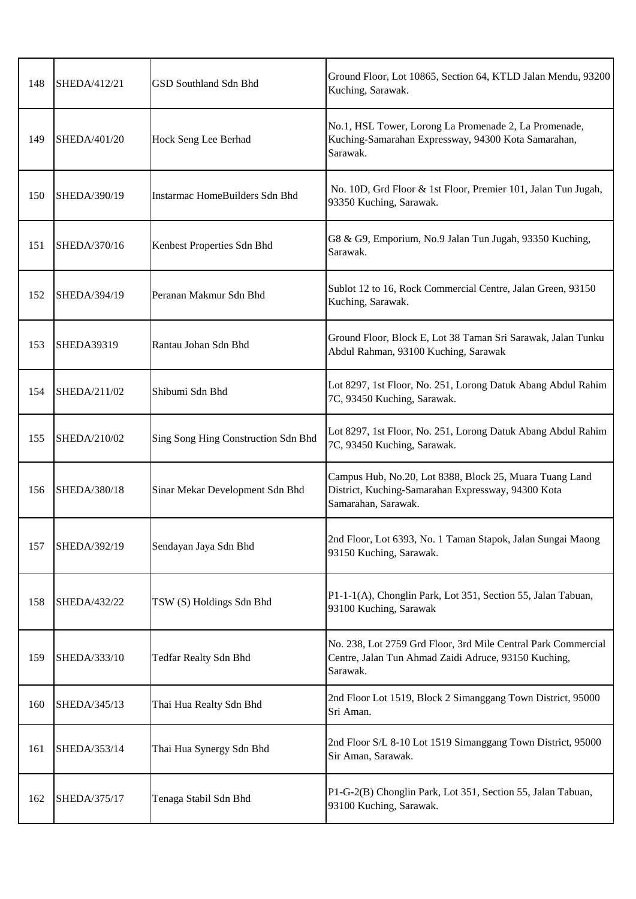| 148 | SHEDA/412/21      | <b>GSD Southland Sdn Bhd</b>        | Ground Floor, Lot 10865, Section 64, KTLD Jalan Mendu, 93200<br>Kuching, Sarawak.                                                    |
|-----|-------------------|-------------------------------------|--------------------------------------------------------------------------------------------------------------------------------------|
| 149 | SHEDA/401/20      | Hock Seng Lee Berhad                | No.1, HSL Tower, Lorong La Promenade 2, La Promenade,<br>Kuching-Samarahan Expressway, 94300 Kota Samarahan,<br>Sarawak.             |
| 150 | SHEDA/390/19      | Instarmac HomeBuilders Sdn Bhd      | No. 10D, Grd Floor & 1st Floor, Premier 101, Jalan Tun Jugah,<br>93350 Kuching, Sarawak.                                             |
| 151 | SHEDA/370/16      | Kenbest Properties Sdn Bhd          | G8 & G9, Emporium, No.9 Jalan Tun Jugah, 93350 Kuching,<br>Sarawak.                                                                  |
| 152 | SHEDA/394/19      | Peranan Makmur Sdn Bhd              | Sublot 12 to 16, Rock Commercial Centre, Jalan Green, 93150<br>Kuching, Sarawak.                                                     |
| 153 | <b>SHEDA39319</b> | Rantau Johan Sdn Bhd                | Ground Floor, Block E, Lot 38 Taman Sri Sarawak, Jalan Tunku<br>Abdul Rahman, 93100 Kuching, Sarawak                                 |
| 154 | SHEDA/211/02      | Shibumi Sdn Bhd                     | Lot 8297, 1st Floor, No. 251, Lorong Datuk Abang Abdul Rahim<br>7C, 93450 Kuching, Sarawak.                                          |
| 155 | SHEDA/210/02      | Sing Song Hing Construction Sdn Bhd | Lot 8297, 1st Floor, No. 251, Lorong Datuk Abang Abdul Rahim<br>7C, 93450 Kuching, Sarawak.                                          |
| 156 | SHEDA/380/18      | Sinar Mekar Development Sdn Bhd     | Campus Hub, No.20, Lot 8388, Block 25, Muara Tuang Land<br>District, Kuching-Samarahan Expressway, 94300 Kota<br>Samarahan, Sarawak. |
| 157 | SHEDA/392/19      | Sendayan Jaya Sdn Bhd               | 2nd Floor, Lot 6393, No. 1 Taman Stapok, Jalan Sungai Maong<br>93150 Kuching, Sarawak.                                               |
| 158 | SHEDA/432/22      | TSW (S) Holdings Sdn Bhd            | P1-1-1(A), Chonglin Park, Lot 351, Section 55, Jalan Tabuan,<br>93100 Kuching, Sarawak                                               |
| 159 | SHEDA/333/10      | Tedfar Realty Sdn Bhd               | No. 238, Lot 2759 Grd Floor, 3rd Mile Central Park Commercial<br>Centre, Jalan Tun Ahmad Zaidi Adruce, 93150 Kuching,<br>Sarawak.    |
| 160 | SHEDA/345/13      | Thai Hua Realty Sdn Bhd             | 2nd Floor Lot 1519, Block 2 Simanggang Town District, 95000<br>Sri Aman.                                                             |
| 161 | SHEDA/353/14      | Thai Hua Synergy Sdn Bhd            | 2nd Floor S/L 8-10 Lot 1519 Simanggang Town District, 95000<br>Sir Aman, Sarawak.                                                    |
| 162 | SHEDA/375/17      | Tenaga Stabil Sdn Bhd               | P1-G-2(B) Chonglin Park, Lot 351, Section 55, Jalan Tabuan,<br>93100 Kuching, Sarawak.                                               |